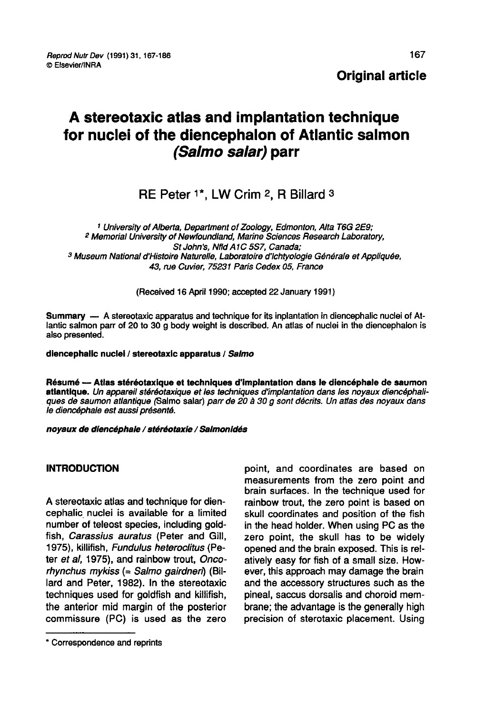# **Original article**

# A stereotaxic atlas and implantation technique for nuclei of the diencephalon of Atlantic salmon (Salmo salar) parr

# RE Peter <sup>1\*</sup>, LW Crim 2, R Billard 3

<sup>1</sup> University of Alberta, Department of Zoology, Edmonton, Alta T6G 2E9; <sup>2</sup> Memorial University of Newfoundland, Marine Sciences Research Laboratory, <sup>3</sup> Museum National d'Histoire Naturelle, Laboratoire d'Ichtyologie Générale et Appliquée, 43, rue Cuvier, 75231 Paris Cedex 05, France

(Received 16 April 1990; accepted 22 January 1991)

Summary — A stereotaxic apparatus and technique for its inplantation in diencephalic nuclei of Atlantic salmon parr of 20 to 30 g body weight is described. An atlas of nuclei in the diencephalon is also presented.

#### diencephalic nuclei / stereotaxic apparatus / Salmo

Résumé ― Atlas stéréotaxique et techniques d'implantation dans le diencéphale de saumon atlantique. Un appareil stéréotaxique et les techniques d'implantation dans les noyaux diencéphaliques de saumon atlantique (Salmo salar) parr de 20 à 30 g sont décrits. Un atlas des noyaux dans le diencéphale est aussi présenté.

noyaux de dlencéphale / stéréotaxie / Salmonidés

# **INTRODUCTION**

A stereotaxic atlas and technique for diencephalic nuclei is available for a limited number of teleost species, including goldfish, Carassius auratus (Peter and Gill, 1975), killifish, Fundulus heteroclitus (Peter et al, 1975), and rainbow trout, Oncorhynchus mykiss (= Salmo gairdnen) (Billard and Peter, 1982). In the stereotaxic techniques used for goldfish and killifish, the anterior mid margin of the posterior commissure (PC) is used as the zero

point, and coordinates are based on measurements from the zero point and brain surfaces. In the technique used for rainbow trout, the zero point is based on skull coordinates and position of the fish in the head holder. When using PC as the zero point, the skull has to be widely opened and the brain exposed. This is relatively easy for fish of a small size. However, this approach may damage the brain and the accessory structures such as the pineal, saccus dorsalis and choroid membrane; the advantage is the generally high precision of sterotaxic placement. Using

<sup>\*</sup> Correspondence and reprints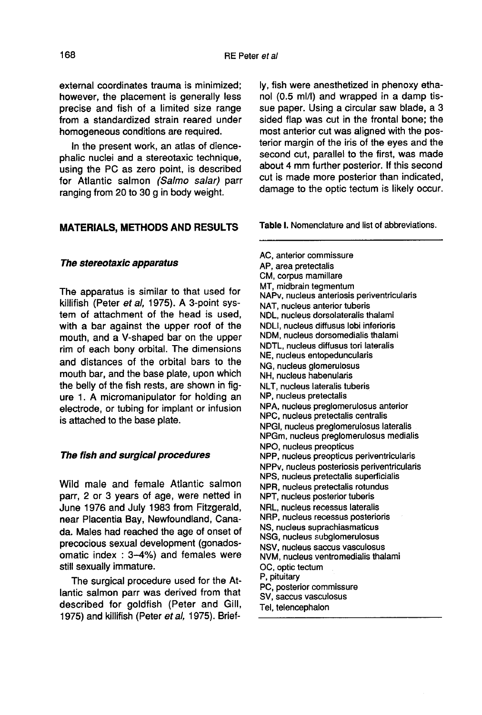external coordinates trauma is minimized; however, the placement is generally less precise and fish of a limited size range from a standardized strain reared under homogeneous conditions are required.

In the present work, an atlas of diencephalic nuclei and a stereotaxic technique, using the PC as zero point, is described for Atlantic salmon (Salmo salar) parr ranging from 20 to 30 g in body weight.

# MATERIALS, METHODS AND RESULTS

#### The stereotaxic apparatus

The apparatus is similar to that used for killifish (Peter et al, 1975). A 3-point system of attachment of the head is used, with a bar against the upper roof of the mouth, and a V-shaped bar on the upper rim of each bony orbital. The dimensions and distances of the orbital bars to the mouth bar, and the base plate, upon which<br>the belly of the fish rests, are shown in figure 1. A micromanipulator for holding an electrode, or tubing for implant or infusion is attached to the base plate.

#### The fish and surgical procedures

Wild male and female Atlantic salmon parr, 2 or 3 years of age, were netted in June 1976 and July 1983 from Fitzgerald, near Placentia Bay, Newfoundland, Canada. Males had reached the age of onset of precocious sexual development (gonadosomatic index : 3-4%) and females were still sexually immature.

The surgical procedure used for the Atlantic salmon parr was derived from that described for goldfish (Peter and Gill, 1975) and killifish (Peter et al, 1975). Briefly, fish were anesthetized in phenoxy ethanol (0.5 mill) and wrapped in a damp tissue paper. Using a circular saw blade, a 3 sided flap was cut in the frontal bone; the most anterior cut was aligned with the posterior margin of the iris of the eyes and the second cut, parallel to the first, was made about 4 mm further posterior. If this second cut is made more posterior than indicated, damage to the optic tectum is likely occur.

Table I. Nomenclature and list of abbreviations.

AC, anterior commissure AP, area pretectalis CM, corpus mamillare MT, midbrain tegmentum NAPv, nucleus anteriosis periventricularis NAT, nucleus anterior tuberis NDL, nucleus dorsolateralis thalami NDLI, nucleus diffusus lobi inferioris NDM, nucleus dorsomedialis thalami NDTL, nucleus diffusus tori lateralis NE, nucleus entopeduncularis NG, nucleus glomerulosus NH, nucleus habenularis NLT. nucleus lateralis tuberis NP, nucleus pretectalis NPA, nucleus preglomerulosus anterior NPC, nucleus pretectalis centralis NPGI, nucleus preglomerulosus lateralis NPGm, nucleus preglomerulosus medialis NPO, nucleus preopticus NPP, nucleus preopticus periventricularis NPPv, nucleus posteriosis periventricularis NPS, nucleus pretectalis superficialis NPR, nucleus pretectalis rotundus NPT, nucleus posterior tuberis NRL, nucleus recessus lateralis NRP, nucleus recessus posterioris NS. nucleus suprachiasmaticus NSG, nucleus subglomerulosus NSV, nucleus saccus vasculosus NVM, nucleus ventromedialis thalami OC, optic tectum P, pituitary PC, posterior commissure SV, saccus vasculosus Tel, telencephalon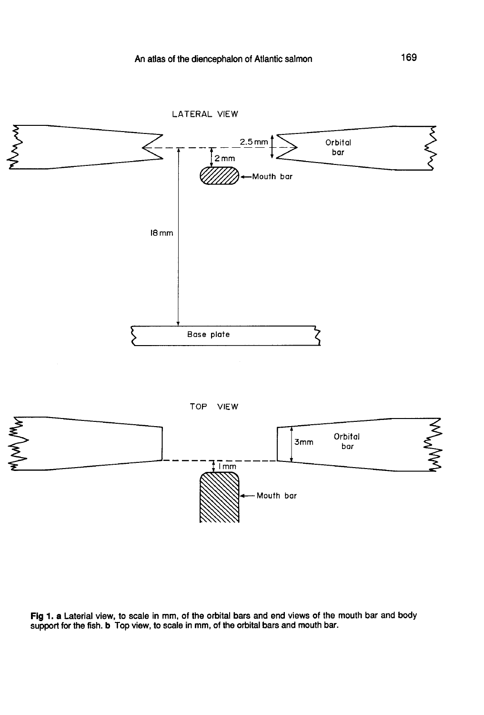

Fig 1. a Laterial view, to scale in mm, of the orbital bars and end views of the mouth bar and body support for the fish. b Top view, to scale in mm, of the orbital bars and mouth bar.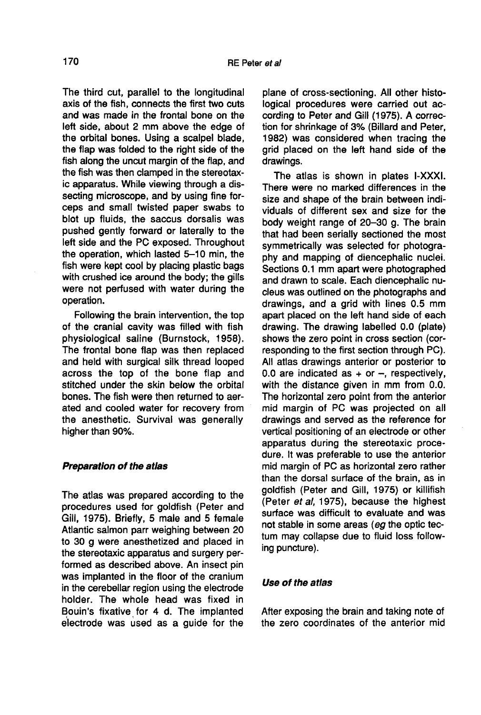The third cut, parallel to the longitudinal axis of the fish, connects the first two cuts and was made in the frontal bone on the left side, about 2 mm above the edge of the orbital bones. Using a scalpel blade, the flap was folded to the right side of the fish along the uncut margin of the flap, and the fish was then clamped in the stereotaxic apparatus. While viewing through a dissecting microscope, and by using fine forceps and small twisted paper swabs to blot up fluids, the saccus dorsalis was pushed gently forward or laterally to the left side and the PC exposed. Throughout the operation, which lasted 5-10 min, the fish were kept cool by placing plastic bags with crushed ice around the body; the gills were not perfused with water during the operation.

Following the brain intervention, the top of the cranial cavity was filled with fish physiological saline (Burnstock, 1958). The frontal bone flap was then replaced and held with surgical silk thread looped across the top of the bone flap and stitched under the skin below the orbital bones. The fish were then returned to aerated and cooled water for recovery from the anesthetic. Survival was generally higher than 90%.

# Preparation of the atlas

The atlas was prepared according to the procedures used for goldfish (Peter and Gill, 1975). Briefly, 5 male and 5 female Atlantic salmon parr weighing between 20 to 30 g were anesthetized and placed in the stereotaxic apparatus and surgery performed as described above. An insect pin was implanted in the floor of the cranium in the cerebellar region using the electrode holder. The whole head was fixed in Bouin's fixative for 4 d. The implanted electrode was used as a guide for the

plane of cross-sectioning. All other histological procedures were carried out according to Peter and Gill (1975). A correction for shrinkage of 3% (Billard and Peter, 1982) was considered when tracing the grid placed on the left hand side of the drawings.

The atlas is shown in plates I-XXXI. There were no marked differences in the size and shape of the brain between individuals of different sex and size for the body weight range of 20-30 g. The brain that had been serially sectioned the most symmetrically was selected for photography and mapping of diencephalic nuclei. Sections 0.1 mm apart were photographed and drawn to scale. Each diencephalic nucleus was outlined on the photographs and drawings, and a grid with lines 0.5 mm apart placed on the left hand side of each drawing. The drawing labelled 0.0 (plate) shows the zero point in cross section (corresponding to the first section through PC). All atlas drawings anterior or posterior to 0.0 are indicated as  $+$  or  $-$ , respectively, with the distance given in mm from 0.0. The horizontal zero point from the anterior mid margin of PC was projected on all drawings and served as the reference for vertical positioning of an electrode or other apparatus during the stereotaxic procedure. It was preferable to use the anterior mid margin of PC as horizontal zero rather than the dorsal surface of the brain, as in goldfish (Peter and Gill, 1975) or killifish (Peter et al, 1975), because the highest surface was difficult to evaluate and was not stable in some areas (eg the optic tectum may collapse due to fluid loss following puncture).

### Use of the atlas

After exposing the brain and taking note of the zero coordinates of the anterior mid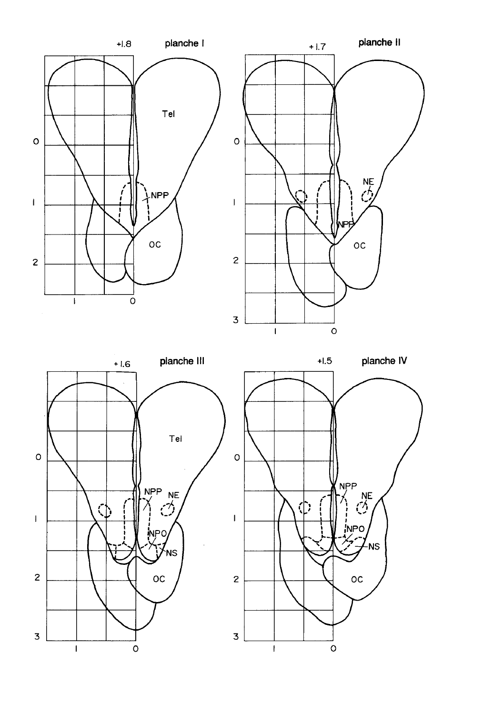





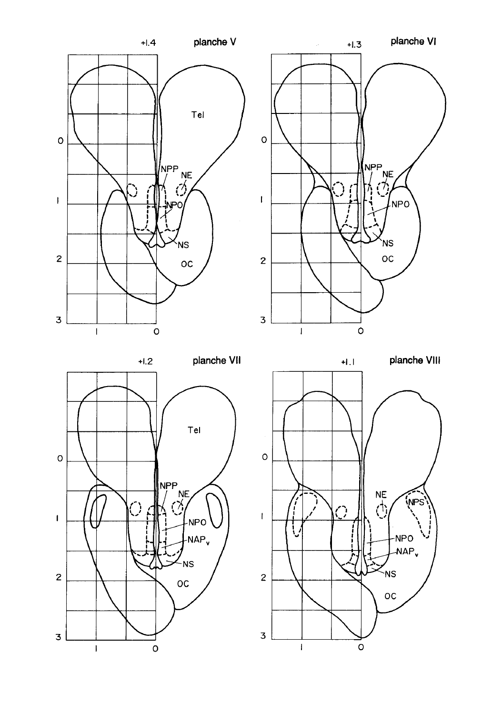

 $\circ$  $N_{\ell}^{\text{PPP}}$  $\mathfrak l$ **NPO NS**  $_{\rm oc}$  $\mathbf{z}$ 3  $\circ$  $\overline{1}$ 

 $+1.3$ 

planche VI



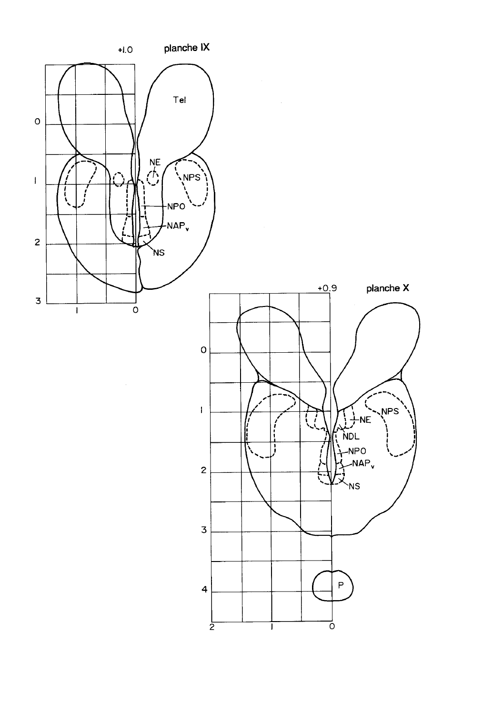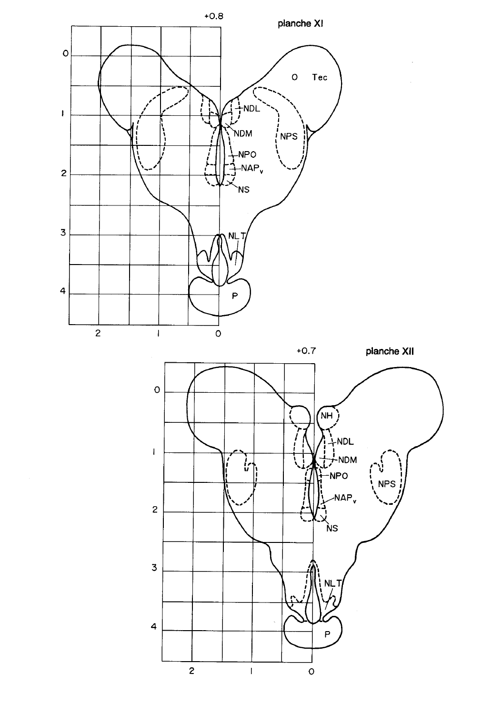

 $\overline{\mathbf{4}}$ 

 $\overline{c}$ 

 $\bar{1}$ 



 $\mathsf{o}$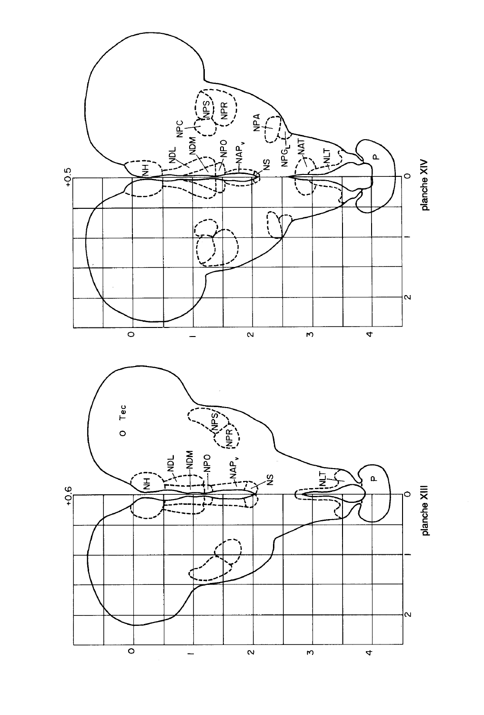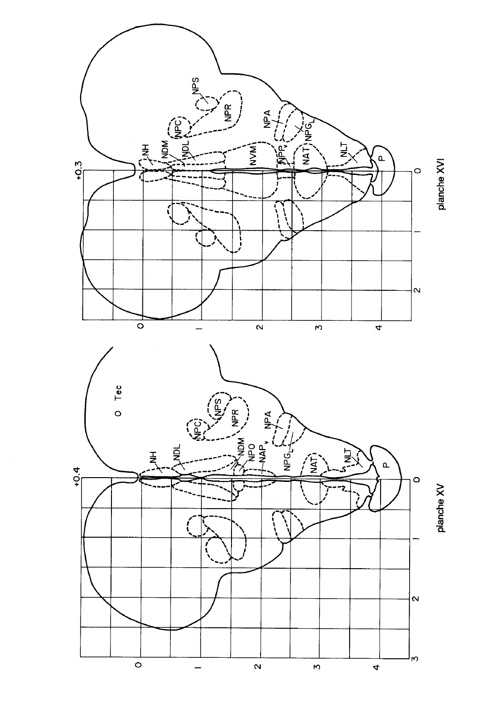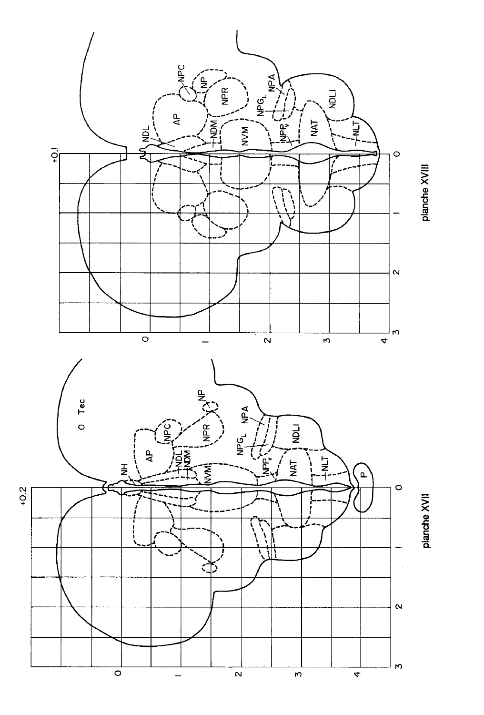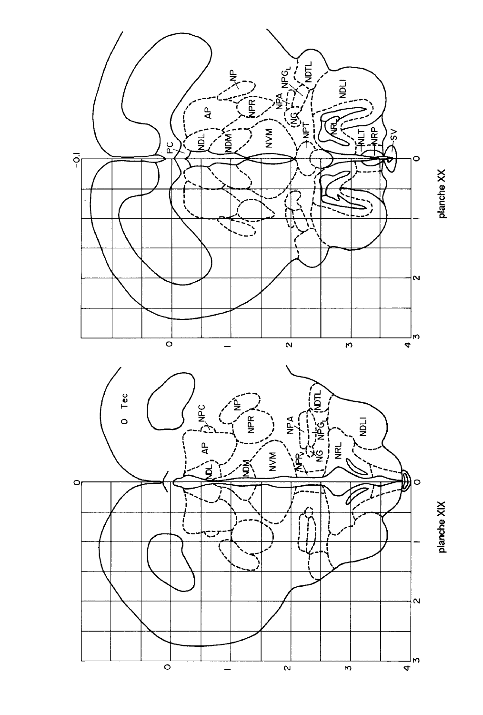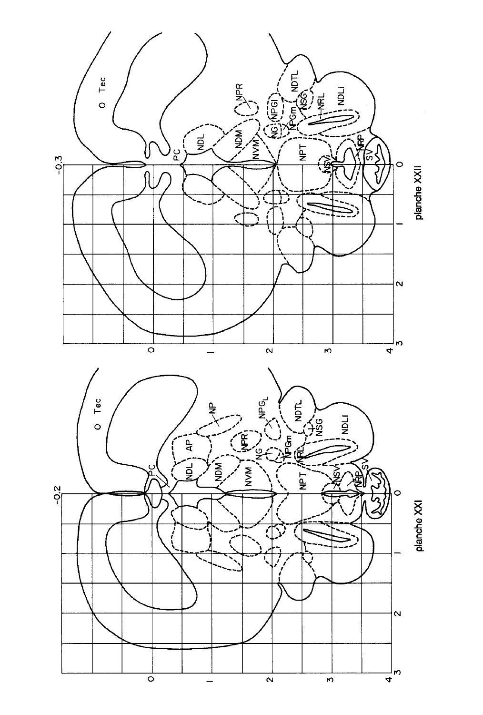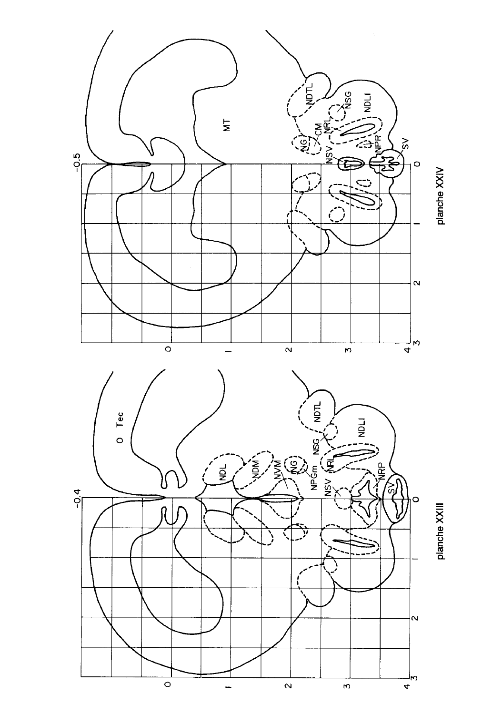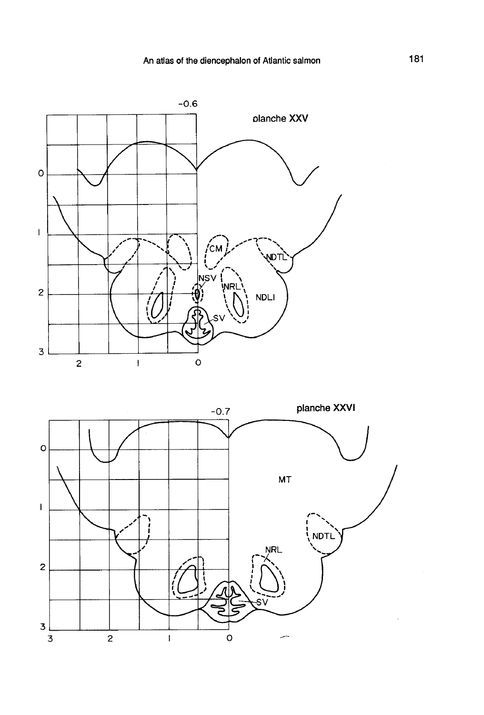

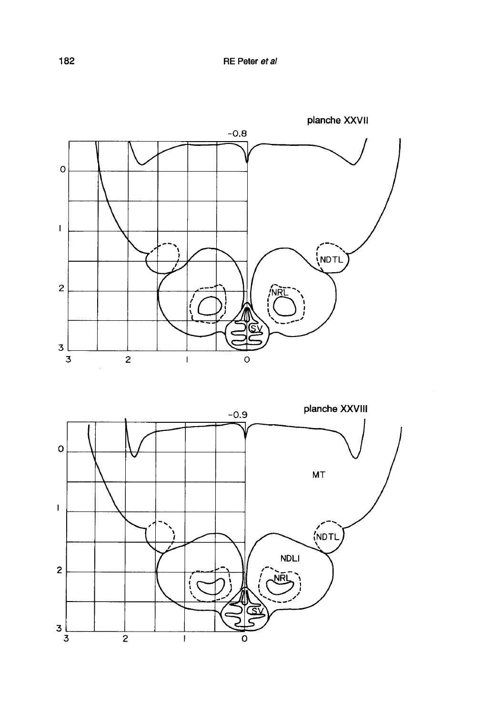

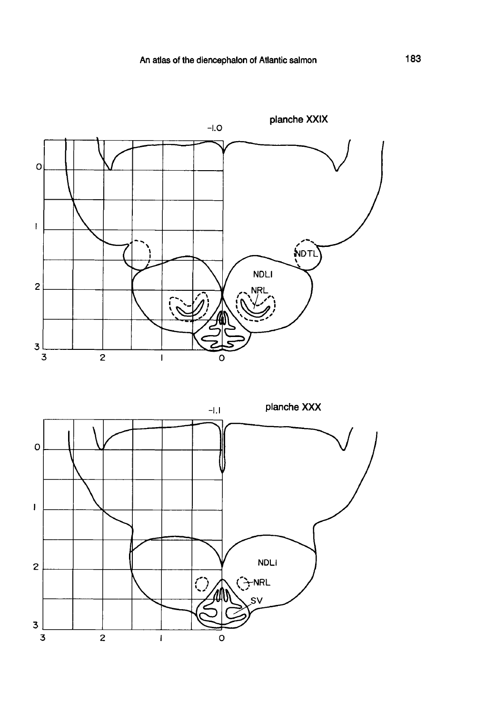

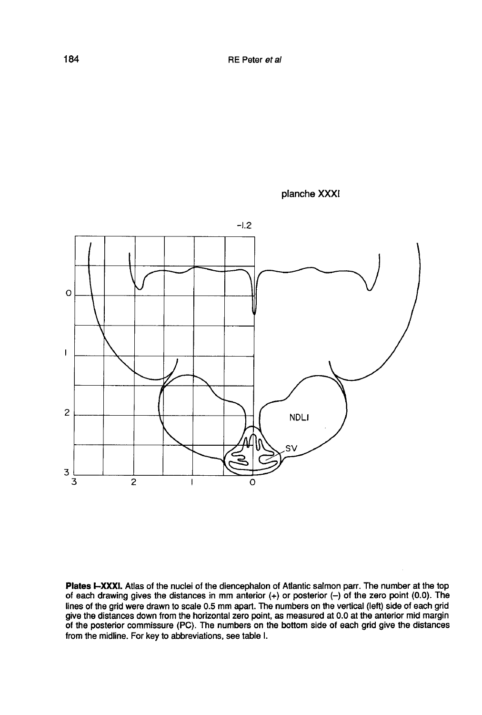



Plates I-XXXI. Atlas of the nuclei of the diencephalon of Atlantic salmon parr. The number at the top of each drawing gives the distances in mm anterior  $(+)$  or posterior  $(-)$  of the zero point (0.0). The lines of the grid were drawn to scale 0.5 mm apart. The numbers on the vertical (left) side of each grid give the distances down from the horizontal zero point, as measured at 0.0 at the anterior mid margin<br>of the posterior commissure (PC). The numbers on the bottom side of each grid give the distances from the midline. For key to abbreviations, see table I.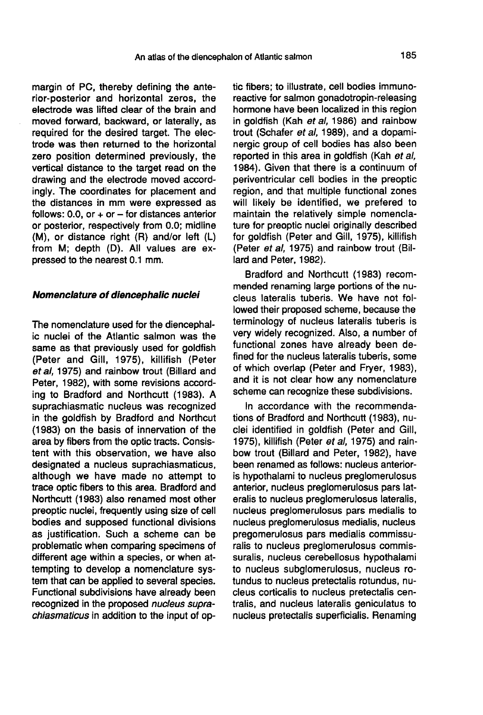margin of PC, thereby defining the anterior-posterior and horizontal zeros, the electrode was lifted clear of the brain and moved forward, backward, or laterally, as required for the desired target. The electrode was then returned to the horizontal zero position determined previously, the vertical distance to the target read on the drawing and the electrode moved accordingly. The coordinates for placement and the distances in mm were expressed as follows:  $0.0$ , or  $+$  or  $-$  for distances anterior or posterior, respectively from 0.0; midline (M), or distance right (R) and/or left (L) from M; depth (D). All values are expressed to the nearest 0.1 mm.

#### Nomenclature of diencephalic nuclei

The nomenclature used for the diencephalic nuclei of the Atlantic salmon was the same as that previously used for goldfish (Peter and Gill, 1975), killifish (Peter et al, 1975) and rainbow trout (Billard and Peter, 1982), with some revisions according to Bradford and Northcutt (1983). A suprachiasmatic nucleus was recognized in the goldfish by Bradford and Northcut (1983) on the basis of innervation of the area by fibers from the optic tracts. Consistent with this observation, we have also designated a nucleus suprachiasmaticus, although we have made no attempt to trace optic fibers to this area. Bradford and Northcutt (1983) also renamed most other preoptic nuclei, frequently using size of cell bodies and supposed functional divisions as justification. Such a scheme can be problematic when comparing specimens of different age within a species, or when attempting to develop a nomenclature system that can be applied to several species. Functional subdivisions have already been recognized in the proposed nucleus suprachiasmaticus in addition to the input of optic fibers; to illustrate, cell bodies immunoreactive for salmon gonadotropin-releasing hormone have been localized in this region in goldfish (Kah et al, 1986) and rainbow trout (Schafer et al, 1989), and a dopaminergic group of cell bodies has also been reported in this area in goldfish (Kah et al, 1984). Given that there is a continuum of periventricular cell bodies in the preoptic region, and that multiple functional zones will likely be identified, we prefered to maintain the relatively simple nomenclature for preoptic nuclei originally described for goldfish (Peter and Gill, 1975), killifish (Peter et al, 1975) and rainbow trout (Billard and Peter, 1982).

Bradford and Northcutt (1983) recommended renaming large portions of the nucleus lateralis tuberis. We have not followed their proposed scheme, because the terminology of nucleus lateralis tuberis is very widely recognized. Also, a number of functional zones have already been defined for the nucleus lateralis tuberis, some of which overlap (Peter and Fryer, 1983), and it is not clear how any nomenclature scheme can recognize these subdivisions.

In accordance with the recommendations of Bradford and Northcutt (1983), nuclei identified in goldfish (Peter and Gill, 1975), killifish (Peter et al, 1975) and rainbow trout (Billard and Peter, 1982), have been renamed as follows: nucleus anterioris hypothalami to nucleus preglomerulosus anterior, nucleus preglomerulosus pars lateralis to nucleus preglomerulosus lateralis, nucleus preglomerulosus pars medialis to nucleus preglomerulosus medialis, nucleus pregomerulosus pars medialis commissuralis to nucleus preglomerulosus commissuralis, nucleus cerebellosus hypothalami to nucleus subglomerulosus, nucleus rotundus to nucleus pretectalis rotundus, nucleus corticalis to nucleus pretectalis centralis, and nucleus lateralis geniculatus to nucleus pretectalis superficialis. Renaming